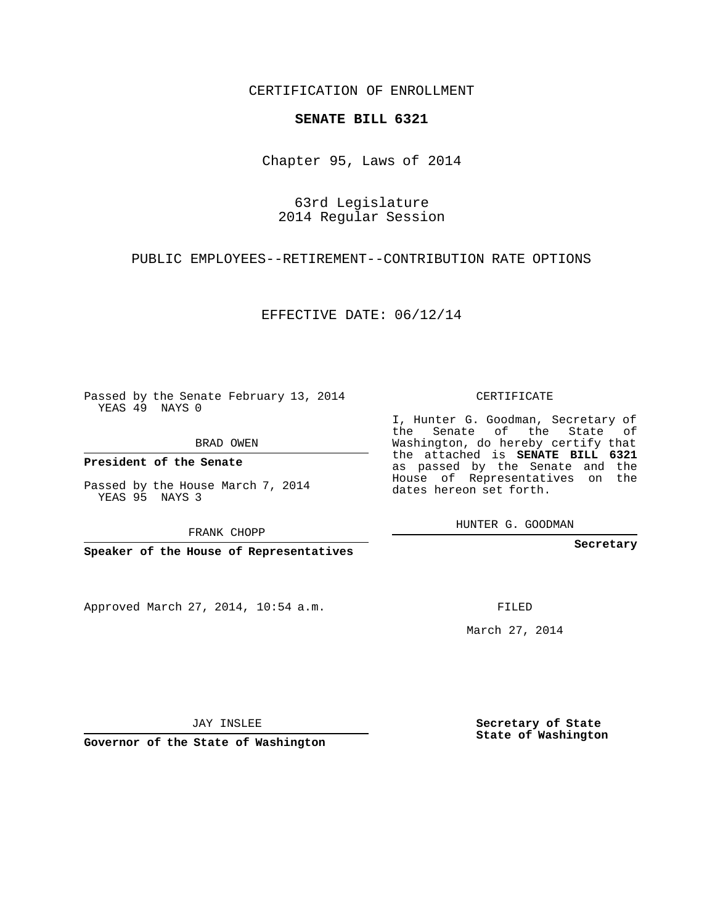CERTIFICATION OF ENROLLMENT

## **SENATE BILL 6321**

Chapter 95, Laws of 2014

63rd Legislature 2014 Regular Session

PUBLIC EMPLOYEES--RETIREMENT--CONTRIBUTION RATE OPTIONS

EFFECTIVE DATE: 06/12/14

Passed by the Senate February 13, 2014 YEAS 49 NAYS 0

BRAD OWEN

**President of the Senate**

Passed by the House March 7, 2014 YEAS 95 NAYS 3

FRANK CHOPP

**Speaker of the House of Representatives**

Approved March 27, 2014, 10:54 a.m.

CERTIFICATE

I, Hunter G. Goodman, Secretary of the Senate of the State of Washington, do hereby certify that the attached is **SENATE BILL 6321** as passed by the Senate and the House of Representatives on the dates hereon set forth.

HUNTER G. GOODMAN

**Secretary**

FILED

March 27, 2014

**Secretary of State State of Washington**

JAY INSLEE

**Governor of the State of Washington**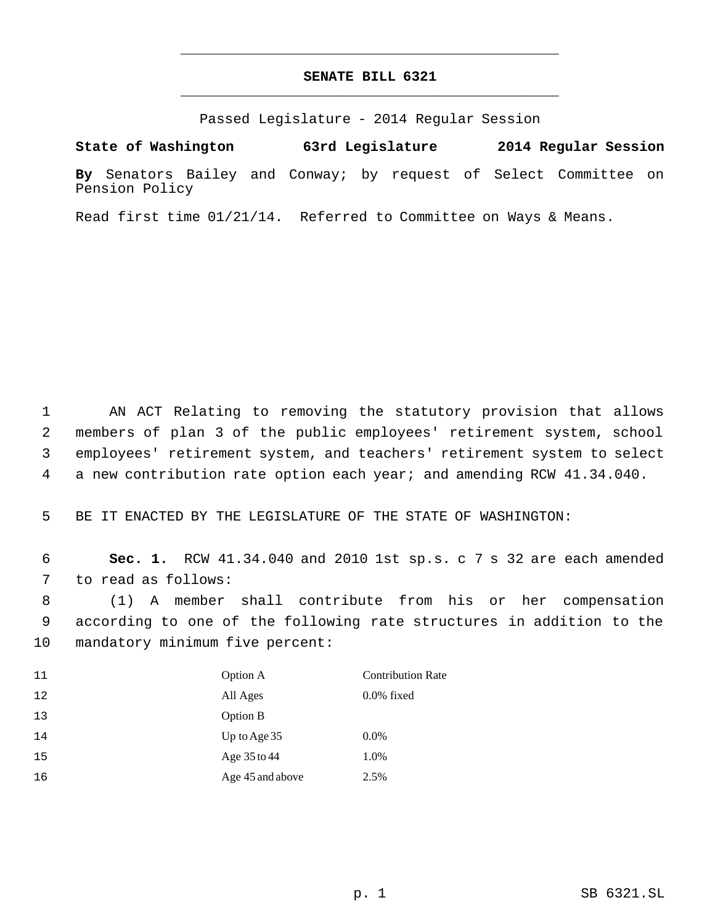## **SENATE BILL 6321** \_\_\_\_\_\_\_\_\_\_\_\_\_\_\_\_\_\_\_\_\_\_\_\_\_\_\_\_\_\_\_\_\_\_\_\_\_\_\_\_\_\_\_\_\_

\_\_\_\_\_\_\_\_\_\_\_\_\_\_\_\_\_\_\_\_\_\_\_\_\_\_\_\_\_\_\_\_\_\_\_\_\_\_\_\_\_\_\_\_\_

Passed Legislature - 2014 Regular Session

**State of Washington 63rd Legislature 2014 Regular Session**

**By** Senators Bailey and Conway; by request of Select Committee on Pension Policy

Read first time 01/21/14. Referred to Committee on Ways & Means.

 AN ACT Relating to removing the statutory provision that allows members of plan 3 of the public employees' retirement system, school employees' retirement system, and teachers' retirement system to select a new contribution rate option each year; and amending RCW 41.34.040.

BE IT ENACTED BY THE LEGISLATURE OF THE STATE OF WASHINGTON:

 **Sec. 1.** RCW 41.34.040 and 2010 1st sp.s. c 7 s 32 are each amended to read as follows:

 (1) A member shall contribute from his or her compensation according to one of the following rate structures in addition to the mandatory minimum five percent:

| 11 | Option A         | <b>Contribution Rate</b> |
|----|------------------|--------------------------|
| 12 | All Ages         | $0.0\%$ fixed            |
| 13 | Option B         |                          |
| 14 | Up to Age $35$   | $0.0\%$                  |
| 15 | Age 35 to 44     | 1.0%                     |
| 16 | Age 45 and above | 2.5%                     |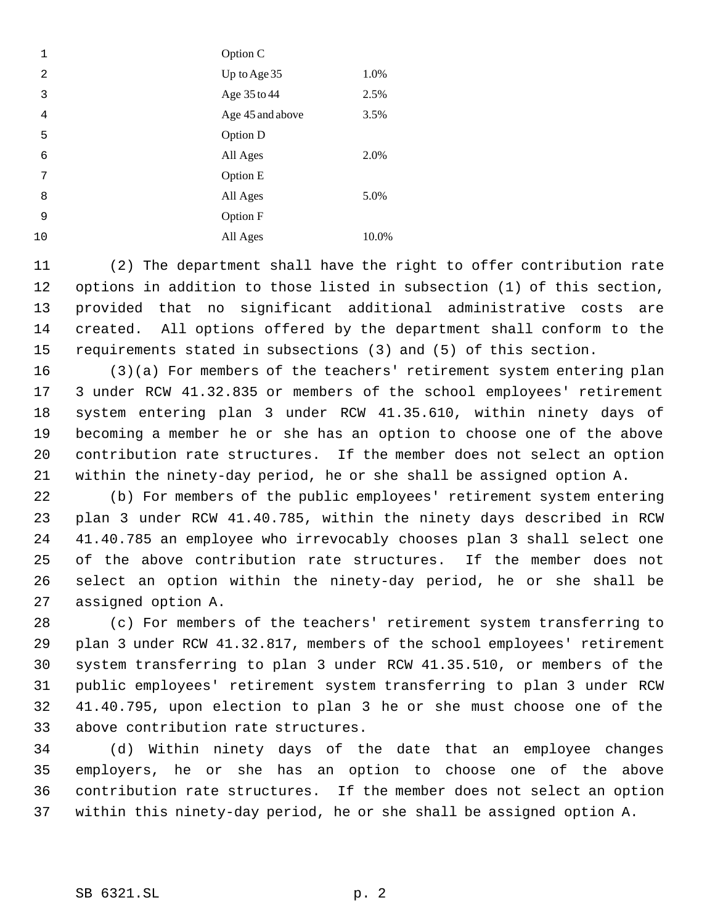| 1  | Option C         |       |
|----|------------------|-------|
| 2  | Up to Age 35     | 1.0%  |
| 3  | Age 35 to 44     | 2.5%  |
| 4  | Age 45 and above | 3.5%  |
| 5  | Option D         |       |
| 6  | All Ages         | 2.0%  |
| 7  | Option E         |       |
| 8  | All Ages         | 5.0%  |
| 9  | Option F         |       |
| 10 | All Ages         | 10.0% |
|    |                  |       |

 (2) The department shall have the right to offer contribution rate options in addition to those listed in subsection (1) of this section, provided that no significant additional administrative costs are created. All options offered by the department shall conform to the requirements stated in subsections (3) and (5) of this section.

 (3)(a) For members of the teachers' retirement system entering plan 3 under RCW 41.32.835 or members of the school employees' retirement system entering plan 3 under RCW 41.35.610, within ninety days of becoming a member he or she has an option to choose one of the above contribution rate structures. If the member does not select an option within the ninety-day period, he or she shall be assigned option A.

 (b) For members of the public employees' retirement system entering plan 3 under RCW 41.40.785, within the ninety days described in RCW 41.40.785 an employee who irrevocably chooses plan 3 shall select one of the above contribution rate structures. If the member does not select an option within the ninety-day period, he or she shall be assigned option A.

 (c) For members of the teachers' retirement system transferring to plan 3 under RCW 41.32.817, members of the school employees' retirement system transferring to plan 3 under RCW 41.35.510, or members of the public employees' retirement system transferring to plan 3 under RCW 41.40.795, upon election to plan 3 he or she must choose one of the above contribution rate structures.

 (d) Within ninety days of the date that an employee changes employers, he or she has an option to choose one of the above contribution rate structures. If the member does not select an option within this ninety-day period, he or she shall be assigned option A.